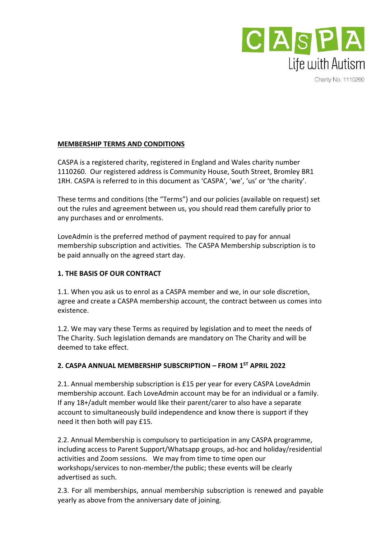

Charity No. 1110260

## **MEMBERSHIP TERMS AND CONDITIONS**

CASPA is a registered charity, registered in England and Wales charity number 1110260. Our registered address is Community House, South Street, Bromley BR1 1RH. CASPA is referred to in this document as 'CASPA', 'we', 'us' or 'the charity'.

These terms and conditions (the "Terms") and our policies (available on request) set out the rules and agreement between us, you should read them carefully prior to any purchases and or enrolments.

LoveAdmin is the preferred method of payment required to pay for annual membership subscription and activities. The CASPA Membership subscription is to be paid annually on the agreed start day.

## **1. THE BASIS OF OUR CONTRACT**

1.1. When you ask us to enrol as a CASPA member and we, in our sole discretion, agree and create a CASPA membership account, the contract between us comes into existence.

1.2. We may vary these Terms as required by legislation and to meet the needs of The Charity. Such legislation demands are mandatory on The Charity and will be deemed to take effect.

# **2. CASPA ANNUAL MEMBERSHIP SUBSCRIPTION – FROM 1ST APRIL 2022**

2.1. Annual membership subscription is £15 per year for every CASPA LoveAdmin membership account. Each LoveAdmin account may be for an individual or a family. If any 18+/adult member would like their parent/carer to also have a separate account to simultaneously build independence and know there is support if they need it then both will pay £15.

2.2. Annual Membership is compulsory to participation in any CASPA programme, including access to Parent Support/Whatsapp groups, ad-hoc and holiday/residential activities and Zoom sessions. We may from time to time open our workshops/services to non-member/the public; these events will be clearly advertised as such.

2.3. For all memberships, annual membership subscription is renewed and payable yearly as above from the anniversary date of joining.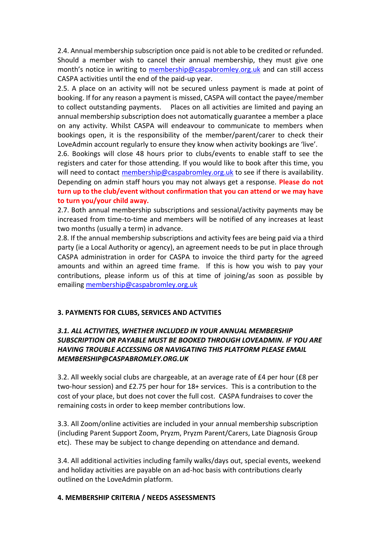2.4. Annual membership subscription once paid is not able to be credited or refunded. Should a member wish to cancel their annual membership, they must give one month's notice in writing to [membership@caspabromley.org.uk](mailto:membership@caspabromley.org.uk) and can still access CASPA activities until the end of the paid-up year.

2.5. A place on an activity will not be secured unless payment is made at point of booking. If for any reason a payment is missed, CASPA will contact the payee/member to collect outstanding payments. Places on all activities are limited and paying an annual membership subscription does not automatically guarantee a member a place on any activity. Whilst CASPA will endeavour to communicate to members when bookings open, it is the responsibility of the member/parent/carer to check their LoveAdmin account regularly to ensure they know when activity bookings are 'live'.

2.6. Bookings will close 48 hours prior to clubs/events to enable staff to see the registers and cater for those attending. If you would like to book after this time, you will need to contact [membership@caspabromley.org.uk](mailto:membership@caspabromley.org.uk) to see if there is availability. Depending on admin staff hours you may not always get a response. **Please do not turn up to the club/event without confirmation that you can attend or we may have to turn you/your child away.**

2.7. Both annual membership subscriptions and sessional/activity payments may be increased from time-to-time and members will be notified of any increases at least two months (usually a term) in advance.

2.8. If the annual membership subscriptions and activity fees are being paid via a third party (ie a Local Authority or agency), an agreement needs to be put in place through CASPA administration in order for CASPA to invoice the third party for the agreed amounts and within an agreed time frame. If this is how you wish to pay your contributions, please inform us of this at time of joining/as soon as possible by emailing [membership@caspabromley.org.uk](mailto:membership@caspabromley.org.uk)

#### **3. PAYMENTS FOR CLUBS, SERVICES AND ACTVITIES**

### *3.1. ALL ACTIVITIES, WHETHER INCLUDED IN YOUR ANNUAL MEMBERSHIP SUBSCRIPTION OR PAYABLE MUST BE BOOKED THROUGH LOVEADMIN. IF YOU ARE HAVING TROUBLE ACCESSING OR NAVIGATING THIS PLATFORM PLEASE EMAIL MEMBERSHIP@CASPABROMLEY.ORG.UK*

3.2. All weekly social clubs are chargeable, at an average rate of £4 per hour (£8 per two-hour session) and £2.75 per hour for 18+ services. This is a contribution to the cost of your place, but does not cover the full cost. CASPA fundraises to cover the remaining costs in order to keep member contributions low.

3.3. All Zoom/online activities are included in your annual membership subscription (including Parent Support Zoom, Pryzm, Pryzm Parent/Carers, Late Diagnosis Group etc). These may be subject to change depending on attendance and demand.

3.4. All additional activities including family walks/days out, special events, weekend and holiday activities are payable on an ad-hoc basis with contributions clearly outlined on the LoveAdmin platform.

#### **4. MEMBERSHIP CRITERIA / NEEDS ASSESSMENTS**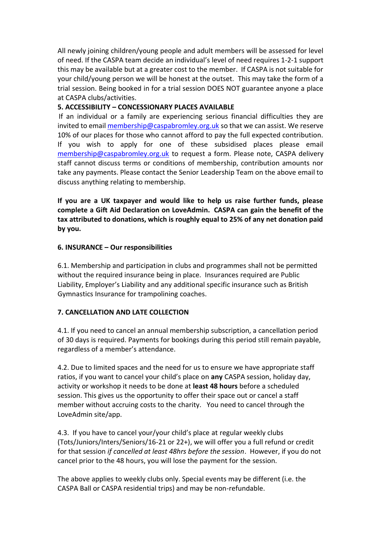All newly joining children/young people and adult members will be assessed for level of need. If the CASPA team decide an individual's level of need requires 1-2-1 support this may be available but at a greater cost to the member. If CASPA is not suitable for your child/young person we will be honest at the outset. This may take the form of a trial session. Being booked in for a trial session DOES NOT guarantee anyone a place at CASPA clubs/activities.

### **5. ACCESSIBILITY – CONCESSIONARY PLACES AVAILABLE**

If an individual or a family are experiencing serious financial difficulties they are invited to email [membership@caspabromley.org.uk](mailto:membership@caspabromley.org.uk) so that we can assist. We reserve 10% of our places for those who cannot afford to pay the full expected contribution. If you wish to apply for one of these subsidised places please email [membership@caspabromley.org.uk](mailto:membership@caspabromley.org.uk) to request a form. Please note, CASPA delivery staff cannot discuss terms or conditions of membership, contribution amounts nor take any payments. Please contact the Senior Leadership Team on the above email to discuss anything relating to membership.

**If you are a UK taxpayer and would like to help us raise further funds, please complete a Gift Aid Declaration on LoveAdmin. CASPA can gain the benefit of the tax attributed to donations, which is roughly equal to 25% of any net donation paid by you.** 

#### **6. INSURANCE – Our responsibilities**

6.1. Membership and participation in clubs and programmes shall not be permitted without the required insurance being in place. Insurances required are Public Liability, Employer's Liability and any additional specific insurance such as British Gymnastics Insurance for trampolining coaches.

#### **7. CANCELLATION AND LATE COLLECTION**

4.1. If you need to cancel an annual membership subscription, a cancellation period of 30 days is required. Payments for bookings during this period still remain payable, regardless of a member's attendance.

4.2. Due to limited spaces and the need for us to ensure we have appropriate staff ratios, if you want to cancel your child's place on **any** CASPA session, holiday day, activity or workshop it needs to be done at **least 48 hours** before a scheduled session. This gives us the opportunity to offer their space out or cancel a staff member without accruing costs to the charity. You need to cancel through the LoveAdmin site/app.

4.3. If you have to cancel your/your child's place at regular weekly clubs (Tots/Juniors/Inters/Seniors/16-21 or 22+), we will offer you a full refund or credit for that session *if cancelled at least 48hrs before the session*. However, if you do not cancel prior to the 48 hours, you will lose the payment for the session.

The above applies to weekly clubs only. Special events may be different (i.e. the CASPA Ball or CASPA residential trips) and may be non-refundable.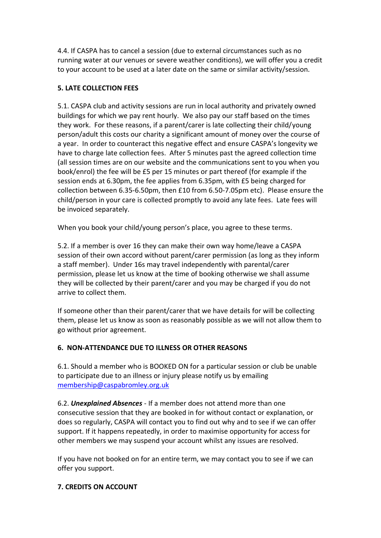4.4. If CASPA has to cancel a session (due to external circumstances such as no running water at our venues or severe weather conditions), we will offer you a credit to your account to be used at a later date on the same or similar activity/session.

# **5. LATE COLLECTION FEES**

5.1. CASPA club and activity sessions are run in local authority and privately owned buildings for which we pay rent hourly. We also pay our staff based on the times they work. For these reasons, if a parent/carer is late collecting their child/young person/adult this costs our charity a significant amount of money over the course of a year. In order to counteract this negative effect and ensure CASPA's longevity we have to charge late collection fees. After 5 minutes past the agreed collection time (all session times are on our website and the communications sent to you when you book/enrol) the fee will be £5 per 15 minutes or part thereof (for example if the session ends at 6.30pm, the fee applies from 6.35pm, with £5 being charged for collection between 6.35-6.50pm, then £10 from 6.50-7.05pm etc). Please ensure the child/person in your care is collected promptly to avoid any late fees. Late fees will be invoiced separately.

When you book your child/young person's place, you agree to these terms.

5.2. If a member is over 16 they can make their own way home/leave a CASPA session of their own accord without parent/carer permission (as long as they inform a staff member). Under 16s may travel independently with parental/carer permission, please let us know at the time of booking otherwise we shall assume they will be collected by their parent/carer and you may be charged if you do not arrive to collect them.

If someone other than their parent/carer that we have details for will be collecting them, please let us know as soon as reasonably possible as we will not allow them to go without prior agreement.

# **6. NON-ATTENDANCE DUE TO ILLNESS OR OTHER REASONS**

6.1. Should a member who is BOOKED ON for a particular session or club be unable to participate due to an illness or injury please notify us by emailing [membership@caspabromley.org.uk](mailto:membership@caspabromley.org.uk)

6.2. *Unexplained Absences* - If a member does not attend more than one consecutive session that they are booked in for without contact or explanation, or does so regularly, CASPA will contact you to find out why and to see if we can offer support. If it happens repeatedly, in order to maximise opportunity for access for other members we may suspend your account whilst any issues are resolved.

If you have not booked on for an entire term, we may contact you to see if we can offer you support.

# **7. CREDITS ON ACCOUNT**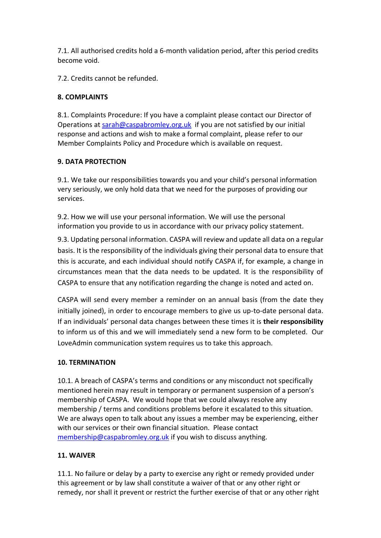7.1. All authorised credits hold a 6-month validation period, after this period credits become void.

7.2. Credits cannot be refunded.

## **8. COMPLAINTS**

8.1. Complaints Procedure: If you have a complaint please contact our Director of Operations at [sarah@caspabromley.org.uk](mailto:sarah@caspabromley.org.uk) if you are not satisfied by our initial response and actions and wish to make a formal complaint, please refer to our Member Complaints Policy and Procedure which is available on request.

## **9. DATA PROTECTION**

9.1. We take our responsibilities towards you and your child's personal information very seriously, we only hold data that we need for the purposes of providing our services.

9.2. How we will use your personal information. We will use the personal information you provide to us in accordance with our privacy policy statement.

9.3. Updating personal information. CASPA will review and update all data on a regular basis. It is the responsibility of the individuals giving their personal data to ensure that this is accurate, and each individual should notify CASPA if, for example, a change in circumstances mean that the data needs to be updated. It is the responsibility of CASPA to ensure that any notification regarding the change is noted and acted on.

CASPA will send every member a reminder on an annual basis (from the date they initially joined), in order to encourage members to give us up-to-date personal data. If an individuals' personal data changes between these times it is **their responsibility** to inform us of this and we will immediately send a new form to be completed. Our LoveAdmin communication system requires us to take this approach.

# **10. TERMINATION**

10.1. A breach of CASPA's terms and conditions or any misconduct not specifically mentioned herein may result in temporary or permanent suspension of a person's membership of CASPA. We would hope that we could always resolve any membership / terms and conditions problems before it escalated to this situation. We are always open to talk about any issues a member may be experiencing, either with our services or their own financial situation. Please contact [membership@caspabromley.org.uk](mailto:membership@caspabromley.org.uk) if you wish to discuss anything.

# **11. WAIVER**

11.1. No failure or delay by a party to exercise any right or remedy provided under this agreement or by law shall constitute a waiver of that or any other right or remedy, nor shall it prevent or restrict the further exercise of that or any other right